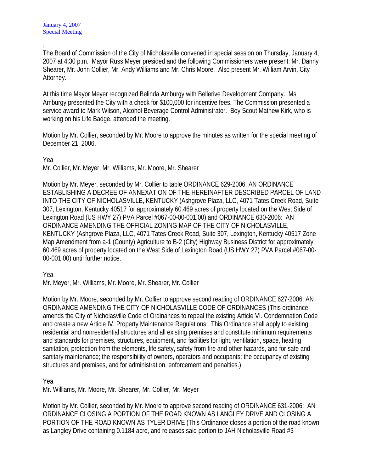.

The Board of Commission of the City of Nicholasville convened in special session on Thursday, January 4, 2007 at 4:30 p.m. Mayor Russ Meyer presided and the following Commissioners were present: Mr. Danny Shearer, Mr. John Collier, Mr. Andy Williams and Mr. Chris Moore. Also present Mr. William Arvin, City Attorney.

At this time Mayor Meyer recognized Belinda Amburgy with Bellerive Development Company. Ms. Amburgy presented the City with a check for \$100,000 for incentive fees. The Commission presented a service award to Mark Wilson, Alcohol Beverage Control Administrator. Boy Scout Mathew Kirk, who is working on his Life Badge, attended the meeting.

Motion by Mr. Collier, seconded by Mr. Moore to approve the minutes as written for the special meeting of December 21, 2006.

Yea

Mr. Collier, Mr. Meyer, Mr. Williams, Mr. Moore, Mr. Shearer

Motion by Mr. Meyer, seconded by Mr. Collier to table ORDINANCE 629-2006: AN ORDINANCE ESTABLISHING A DECREE OF ANNEXATION OF THE HEREINAFTER DESCRIBED PARCEL OF LAND INTO THE CITY OF NICHOLASVILLE, KENTUCKY (Ashgrove Plaza, LLC, 4071 Tates Creek Road, Suite 307, Lexington, Kentucky 40517 for approximately 60.469 acres of property located on the West Side of Lexington Road (US HWY 27) PVA Parcel #067-00-00-001.00) and ORDINANCE 630-2006: AN ORDINANCE AMENDING THE OFFICIAL ZONING MAP OF THE CITY OF NICHOLASVILLE, KENTUCKY (Ashgrove Plaza, LLC, 4071 Tates Creek Road, Suite 307, Lexington, Kentucky 40517 Zone Map Amendment from a-1 (County) Agriculture to B-2 (City) Highway Business District for approximately 60.469 acres of property located on the West Side of Lexington Road (US HWY 27) PVA Parcel #067-00- 00-001.00) until further notice.

Yea

Mr. Meyer, Mr. Williams, Mr. Moore, Mr. Shearer, Mr. Collier

Motion by Mr. Moore, seconded by Mr. Collier to approve second reading of ORDINANCE 627-2006: AN ORDINANCE AMENDING THE CITY OF NICHOLASVILLE CODE OF ORDINANCES (This ordinance amends the City of Nicholasville Code of Ordinances to repeal the existing Article VI. Condemnation Code and create a new Article IV. Property Maintenance Regulations. This Ordinance shall apply to existing residential and nonresidential structures and all existing premises and constitute minimum requirements and standards for premises, structures, equipment, and facilities for light, ventilation, space, heating sanitation, protection from the elements, life safety, safety from fire and other hazards, and for safe and sanitary maintenance; the responsibility of owners, operators and occupants: the occupancy of existing structures and premises, and for administration, enforcement and penalties.)

Yea

Mr. Williams, Mr. Moore, Mr. Shearer, Mr. Collier, Mr. Meyer

Motion by Mr. Collier, seconded by Mr. Moore to approve second reading of ORDINANCE 631-2006: AN ORDINANCE CLOSING A PORTION OF THE ROAD KNOWN AS LANGLEY DRIVE AND CLOSING A PORTION OF THE ROAD KNOWN AS TYLER DRIVE (This Ordinance closes a portion of the road known as Langley Drive containing 0.1184 acre, and releases said portion to JAH Nicholasville Road #3